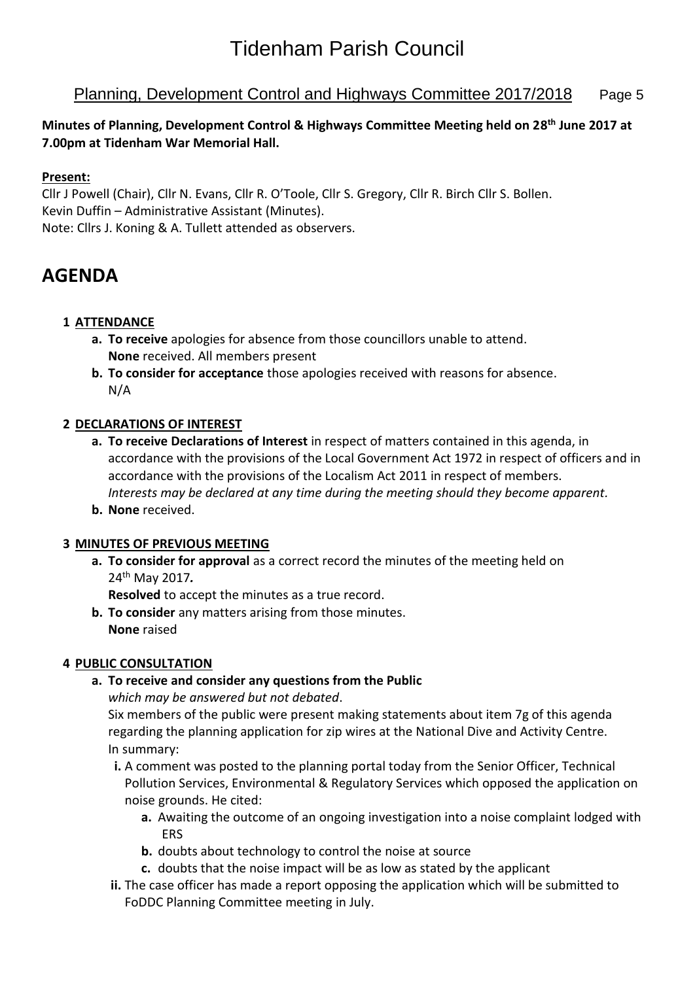# Tidenham Parish Council

### Planning, Development Control and Highways Committee 2017/2018 Page 5

#### **Minutes of Planning, Development Control & Highways Committee Meeting held on 28 th June 2017 at 7.00pm at Tidenham War Memorial Hall.**

#### **Present:**

Cllr J Powell (Chair), Cllr N. Evans, Cllr R. O'Toole, Cllr S. Gregory, Cllr R. Birch Cllr S. Bollen. Kevin Duffin – Administrative Assistant (Minutes). Note: Cllrs J. Koning & A. Tullett attended as observers.

## **AGENDA**

#### **1 ATTENDANCE**

- **a. To receive** apologies for absence from those councillors unable to attend. **None** received. All members present
- **b. To consider for acceptance** those apologies received with reasons for absence. N/A

#### **2 DECLARATIONS OF INTEREST**

- **a. To receive Declarations of Interest** in respect of matters contained in this agenda, in accordance with the provisions of the Local Government Act 1972 in respect of officers and in accordance with the provisions of the Localism Act 2011 in respect of members. *Interests may be declared at any time during the meeting should they become apparent.*
- **b. None** received.

#### **3 MINUTES OF PREVIOUS MEETING**

**a. To consider for approval** as a correct record the minutes of the meeting held on 24 th May 2017*.*

**Resolved** to accept the minutes as a true record.

**b. To consider** any matters arising from those minutes. **None** raised

#### **4 PUBLIC CONSULTATION**

**a. To receive and consider any questions from the Public**

*which may be answered but not debated*.

Six members of the public were present making statements about item 7g of this agenda regarding the planning application for zip wires at the National Dive and Activity Centre. In summary:

**i.** A comment was posted to the planning portal today from the Senior Officer, Technical Pollution Services, Environmental & Regulatory Services which opposed the application on noise grounds. He cited:

- **a.** Awaiting the outcome of an ongoing investigation into a noise complaint lodged with ERS
- **b.** doubts about technology to control the noise at source
- **c.** doubts that the noise impact will be as low as stated by the applicant
- **ii.** The case officer has made a report opposing the application which will be submitted to FoDDC Planning Committee meeting in July.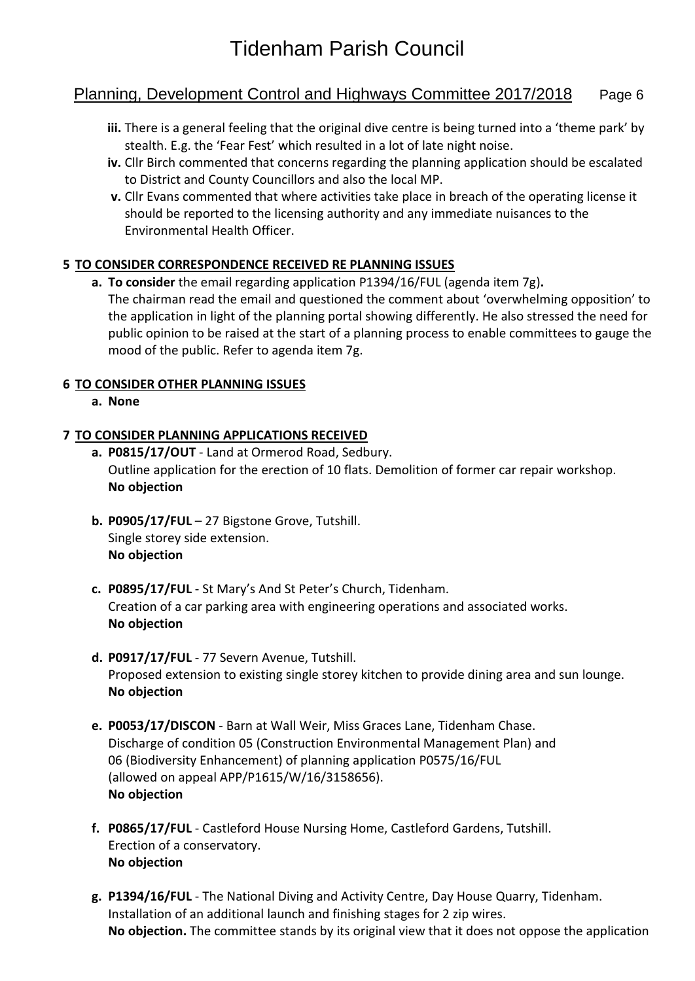## Planning, Development Control and Highways Committee 2017/2018 Page 6

- **iii.** There is a general feeling that the original dive centre is being turned into a 'theme park' by stealth. E.g. the 'Fear Fest' which resulted in a lot of late night noise.
- **iv.** Cllr Birch commented that concerns regarding the planning application should be escalated to District and County Councillors and also the local MP.
- **v.** Cllr Evans commented that where activities take place in breach of the operating license it should be reported to the licensing authority and any immediate nuisances to the Environmental Health Officer.

#### **5 TO CONSIDER CORRESPONDENCE RECEIVED RE PLANNING ISSUES**

**a. To consider** the email regarding application P1394/16/FUL (agenda item 7g)**.** The chairman read the email and questioned the comment about 'overwhelming opposition' to the application in light of the planning portal showing differently. He also stressed the need for public opinion to be raised at the start of a planning process to enable committees to gauge the mood of the public. Refer to agenda item 7g.

#### **6 TO CONSIDER OTHER PLANNING ISSUES**

**a. None**

#### **7 TO CONSIDER PLANNING APPLICATIONS RECEIVED**

- **a. P0815/17/OUT** Land at Ormerod Road, Sedbury. Outline application for the erection of 10 flats. Demolition of former car repair workshop. **No objection**
- **b. P0905/17/FUL** 27 Bigstone Grove, Tutshill. Single storey side extension. **No objection**
- **c. P0895/17/FUL** St Mary's And St Peter's Church, Tidenham. Creation of a car parking area with engineering operations and associated works. **No objection**
- **d. P0917/17/FUL** 77 Severn Avenue, Tutshill. Proposed extension to existing single storey kitchen to provide dining area and sun lounge. **No objection**
- **e. P0053/17/DISCON**  Barn at Wall Weir, Miss Graces Lane, Tidenham Chase. Discharge of condition 05 (Construction Environmental Management Plan) and 06 (Biodiversity Enhancement) of planning application P0575/16/FUL (allowed on appeal APP/P1615/W/16/3158656). **No objection**
- **f. P0865/17/FUL**  Castleford House Nursing Home, Castleford Gardens, Tutshill. Erection of a conservatory. **No objection**
- **g. P1394/16/FUL** The National Diving and Activity Centre, Day House Quarry, Tidenham. Installation of an additional launch and finishing stages for 2 zip wires. **No objection.** The committee stands by its original view that it does not oppose the application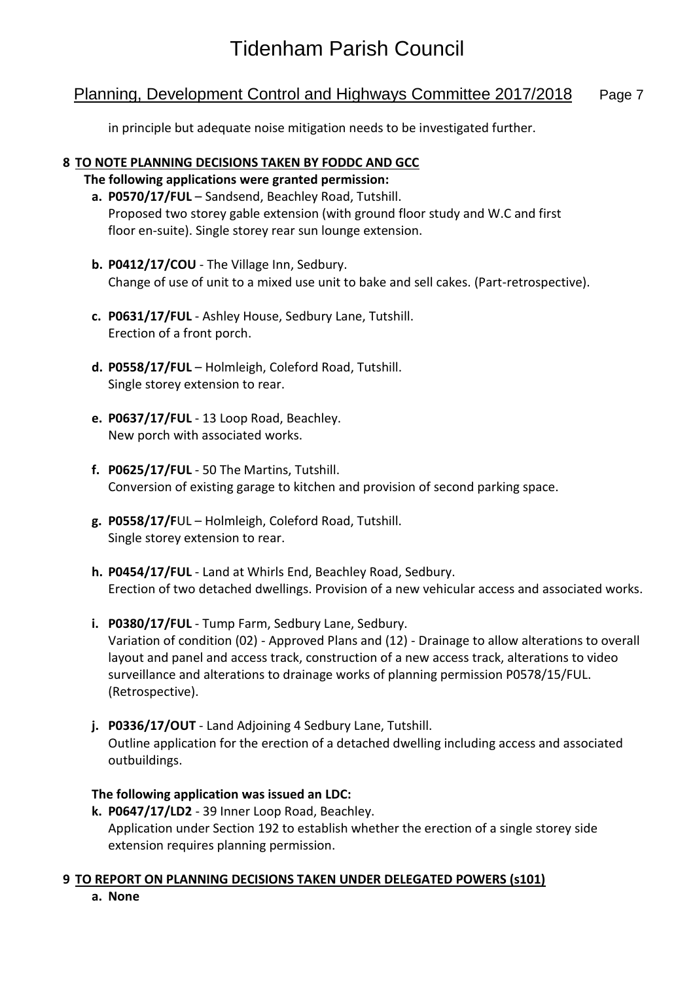## Planning, Development Control and Highways Committee 2017/2018 Page 7

in principle but adequate noise mitigation needs to be investigated further.

#### **8 TO NOTE PLANNING DECISIONS TAKEN BY FODDC AND GCC**

- **The following applications were granted permission: a. P0570/17/FUL** – Sandsend, Beachley Road, Tutshill. Proposed two storey gable extension (with ground floor study and W.C and first floor en-suite). Single storey rear sun lounge extension.
- **b. P0412/17/COU** The Village Inn, Sedbury. Change of use of unit to a mixed use unit to bake and sell cakes. (Part-retrospective).
- **c. P0631/17/FUL** Ashley House, Sedbury Lane, Tutshill. Erection of a front porch.
- **d. P0558/17/FUL** Holmleigh, Coleford Road, Tutshill. Single storey extension to rear.
- **e. P0637/17/FUL** 13 Loop Road, Beachley. [New porch with associated works.](https://publicaccess.fdean.gov.uk/online-applications/applicationDetails.do?activeTab=summary&keyVal=OOPJLNHIM7P00)
- **f. P0625/17/FUL** 50 The Martins, Tutshill. [Conversion of existing garage to kitchen and provision of second parking space.](https://publicaccess.fdean.gov.uk/online-applications/applicationDetails.do?activeTab=summary&keyVal=OONWWQHI01000)
- **g. P0558/17/F**UL Holmleigh, Coleford Road, Tutshill. [Single storey extension to rear.](https://publicaccess.fdean.gov.uk/online-applications/applicationDetails.do?activeTab=summary&keyVal=ONXJ3AHIM4D00)
- **h. P0454/17/FUL** Land at Whirls End, Beachley Road, Sedbury. [Erection of two detached dwellings. Provision of a new vehicular access and associated works.](https://publicaccess.fdean.gov.uk/online-applications/applicationDetails.do?activeTab=summary&keyVal=ON5ZEZHIM0I00)
- **i. P0380/17/FUL** Tump Farm, Sedbury Lane, Sedbury. Variation of condition (02) - Approved Plans and (12) - [Drainage to allow alterations to overall](https://publicaccess.fdean.gov.uk/online-applications/applicationDetails.do?activeTab=summary&keyVal=OMLRO4HILXU00)  [layout and panel and access track, construction of a new access track, alterations to video](https://publicaccess.fdean.gov.uk/online-applications/applicationDetails.do?activeTab=summary&keyVal=OMLRO4HILXU00)  [surveillance and alterations to drainage works of planning permission P0578/15/FUL.](https://publicaccess.fdean.gov.uk/online-applications/applicationDetails.do?activeTab=summary&keyVal=OMLRO4HILXU00)  [\(Retrospective\).](https://publicaccess.fdean.gov.uk/online-applications/applicationDetails.do?activeTab=summary&keyVal=OMLRO4HILXU00)
- **j. P0336/17/OUT** Land Adjoining 4 Sedbury Lane, Tutshill. [Outline application for the erection of a detached dwelling including access and associated](https://publicaccess.fdean.gov.uk/online-applications/applicationDetails.do?activeTab=summary&keyVal=OMDW9QHILWN00)  [outbuildings.](https://publicaccess.fdean.gov.uk/online-applications/applicationDetails.do?activeTab=summary&keyVal=OMDW9QHILWN00)

#### **The following application was issued an LDC:**

**k. P0647/17/LD2** - 39 Inner Loop Road, Beachley. [Application under Section 192 to establish whether the erection of a single storey side](https://publicaccess.fdean.gov.uk/online-applications/applicationDetails.do?activeTab=summary&keyVal=OORMFYHIM7Z00)  [extension requires planning permission.](https://publicaccess.fdean.gov.uk/online-applications/applicationDetails.do?activeTab=summary&keyVal=OORMFYHIM7Z00) 

## **9 TO REPORT ON PLANNING DECISIONS TAKEN UNDER DELEGATED POWERS (s101)**

**a. None**